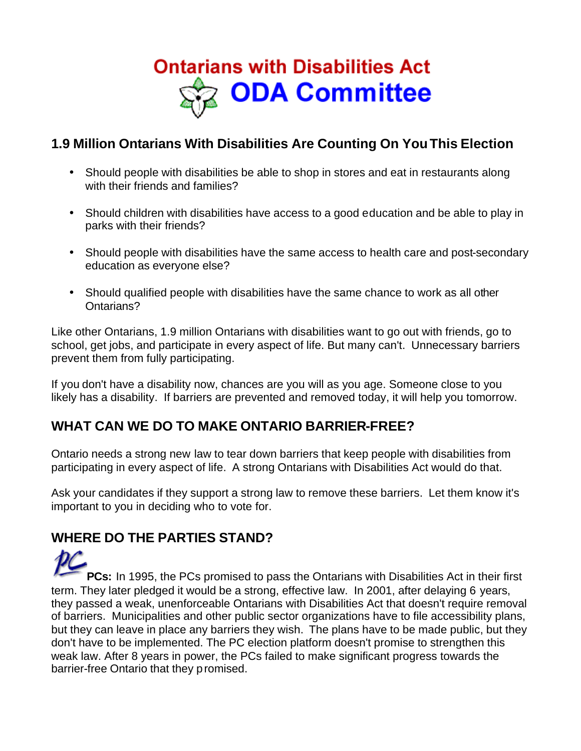

### **1.9 Million Ontarians With Disabilities Are Counting On You This Election**

- Should people with disabilities be able to shop in stores and eat in restaurants along with their friends and families?
- Should children with disabilities have access to a good education and be able to play in parks with their friends?
- Should people with disabilities have the same access to health care and post-secondary education as everyone else?
- Should qualified people with disabilities have the same chance to work as all other Ontarians?

Like other Ontarians, 1.9 million Ontarians with disabilities want to go out with friends, go to school, get jobs, and participate in every aspect of life. But many can't. Unnecessary barriers prevent them from fully participating.

If you don't have a disability now, chances are you will as you age. Someone close to you likely has a disability. If barriers are prevented and removed today, it will help you tomorrow.

## **WHAT CAN WE DO TO MAKE ONTARIO BARRIER-FREE?**

Ontario needs a strong new law to tear down barriers that keep people with disabilities from participating in every aspect of life. A strong Ontarians with Disabilities Act would do that.

Ask your candidates if they support a strong law to remove these barriers. Let them know it's important to you in deciding who to vote for.

## **WHERE DO THE PARTIES STAND?**

**PCs:** In 1995, the PCs promised to pass the Ontarians with Disabilities Act in their first term. They later pledged it would be a strong, effective law. In 2001, after delaying 6 years, they passed a weak, unenforceable Ontarians with Disabilities Act that doesn't require removal of barriers. Municipalities and other public sector organizations have to file accessibility plans, but they can leave in place any barriers they wish. The plans have to be made public, but they don't have to be implemented. The PC election platform doesn't promise to strengthen this weak law. After 8 years in power, the PCs failed to make significant progress towards the barrier-free Ontario that they promised.